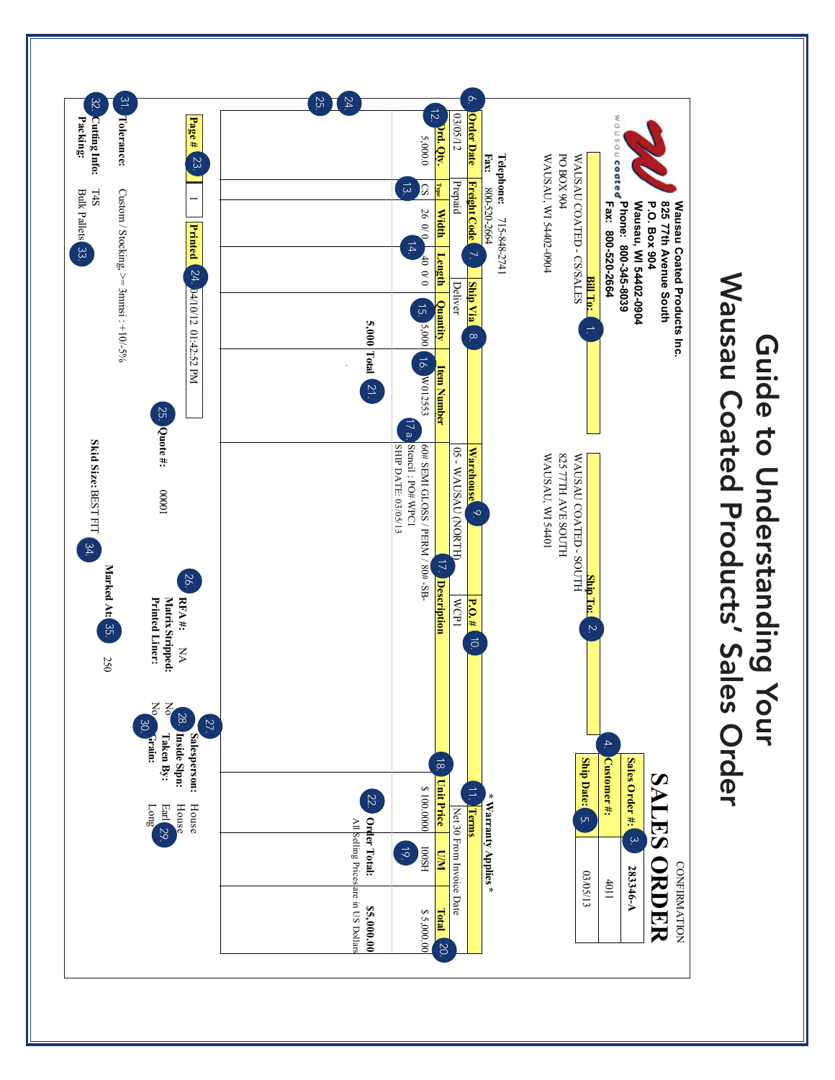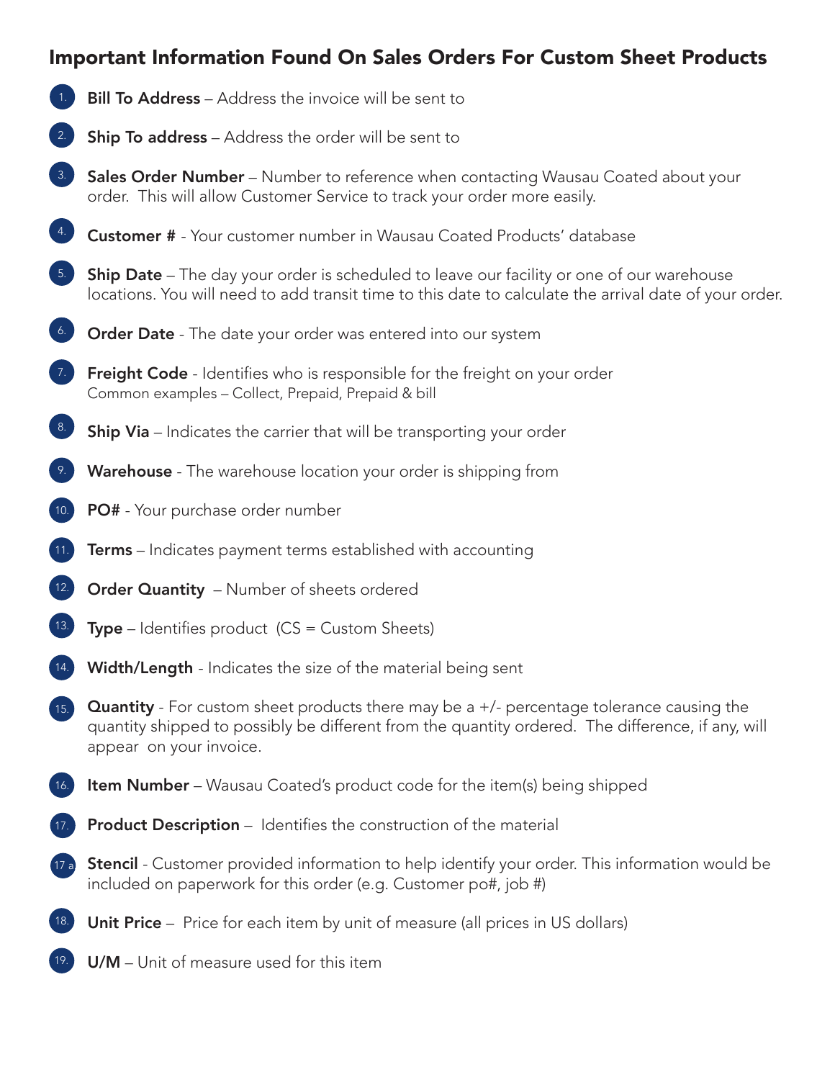## Important Information Found On Sales Orders For Custom Sheet Products

- **Bill To Address** Address the invoice will be sent to
- **Ship To address** Address the order will be sent to 2.
- Sales Order Number Number to reference when contacting Wausau Coated about your order. This will allow Customer Service to track your order more easily. 3.
- Customer # Your customer number in Wausau Coated Products' database 4.
- **Ship Date** The day your order is scheduled to leave our facility or one of our warehouse locations. You will need to add transit time to this date to calculate the arrival date of your order. 5.
- Order Date The date your order was entered into our system 6.
- **7.** Freight Code Identifies who is responsible for the freight on your order Common examples – Collect, Prepaid, Prepaid & bill
- Ship Via Indicates the carrier that will be transporting your order 8.
- Warehouse The warehouse location your order is shipping from 9.
- PO# Your purchase order number 10.
- **Terms** Indicates payment terms established with accounting 11.
- **Order Quantity** Number of sheets ordered 12.
- **Type** Identifies product  $(CS =$  Custom Sheets) 13.
- Width/Length Indicates the size of the material being sent 14.
- **Quantity** For custom sheet products there may be a  $+/-$  percentage tolerance causing the quantity shipped to possibly be different from the quantity ordered. The difference, if any, will appear on your invoice.  $15.$
- **Item Number** Wausau Coated's product code for the item(s) being shipped 16.
- Product Description Identifies the construction of the material 17.
- **Stencil** Customer provided information to help identify your order. This information would be included on paperwork for this order (e.g. Customer po#, job #) 17 a.
- Unit Price Price for each item by unit of measure (all prices in US dollars) 18.
	- U/M Unit of measure used for this item

19.